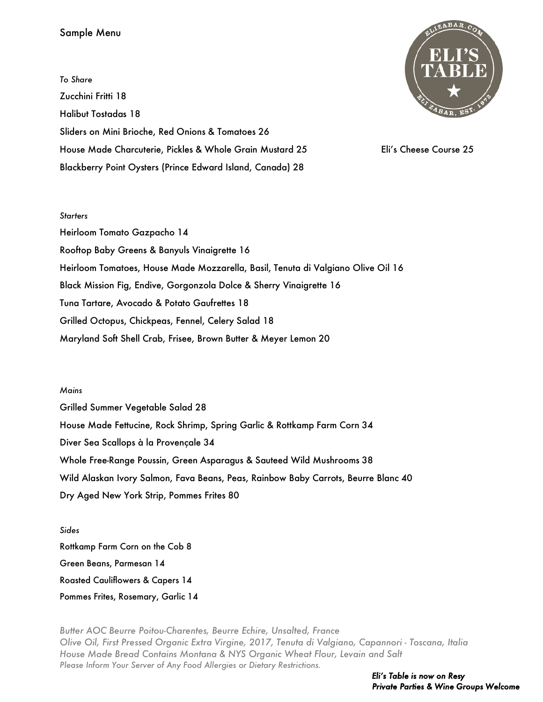## Sample Menu

*To Share* Zucchini Fritti 18 Halibut Tostadas 18 Sliders on Mini Brioche, Red Onions & Tomatoes 26 House Made Charcuterie, Pickles & Whole Grain Mustard 25 Eli's Cheese Course 25 Blackberry Point Oysters (Prince Edward Island, Canada) 28



## *Starters*

Heirloom Tomato Gazpacho 14 Rooftop Baby Greens & Banyuls Vinaigrette 16 Heirloom Tomatoes, House Made Mozzarella, Basil, Tenuta di Valgiano Olive Oil 16 Black Mission Fig, Endive, Gorgonzola Dolce & Sherry Vinaigrette 16 Tuna Tartare, Avocado & Potato Gaufrettes 18 Grilled Octopus, Chickpeas, Fennel, Celery Salad 18 Maryland Soft Shell Crab, Frisee, Brown Butter & Meyer Lemon 20

## *Mains*

Grilled Summer Vegetable Salad 28 House Made Fettucine, Rock Shrimp, Spring Garlic & Rottkamp Farm Corn 34 Diver Sea Scallops à la Provençale 34 Whole Free-Range Poussin, Green Asparagus & Sauteed Wild Mushrooms 38 Wild Alaskan Ivory Salmon, Fava Beans, Peas, Rainbow Baby Carrots, Beurre Blanc 40 Dry Aged New York Strip, Pommes Frites 80

*Sides* Rottkamp Farm Corn on the Cob 8 Green Beans, Parmesan 14 Roasted Cauliflowers & Capers 14 Pommes Frites, Rosemary, Garlic 14

*Butter AOC Beurre Poitou-Charentes, Beurre Echire, Unsalted, France Olive Oil, First Pressed Organic Extra Virgine, 2017, Tenuta di Valgiano, Capannori - Toscana, Italia House Made Bread Contains Montana & NYS Organic Wheat Flour, Levain and Salt Please Inform Your Server of Any Food Allergies or Dietary Restrictions.*

> *Eli's Table is now on Resy Private Parties & Wine Groups Welcome*